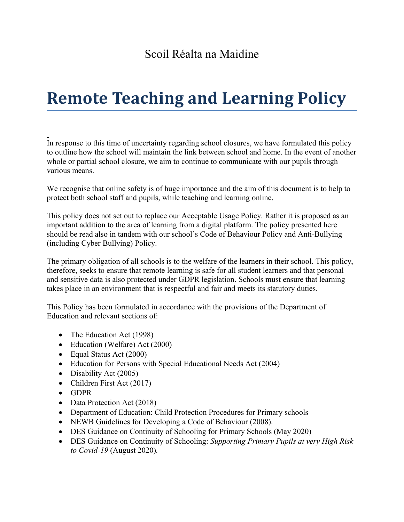## Scoil Réalta na Maidine

# **Remote Teaching and Learning Policy**

In response to this time of uncertainty regarding school closures, we have formulated this policy to outline how the school will maintain the link between school and home. In the event of another whole or partial school closure, we aim to continue to communicate with our pupils through various means.

We recognise that online safety is of huge importance and the aim of this document is to help to protect both school staff and pupils, while teaching and learning online.

This policy does not set out to replace our Acceptable Usage Policy. Rather it is proposed as an important addition to the area of learning from a digital platform. The policy presented here should be read also in tandem with our school's Code of Behaviour Policy and Anti-Bullying (including Cyber Bullying) Policy.

The primary obligation of all schools is to the welfare of the learners in their school. This policy, therefore, seeks to ensure that remote learning is safe for all student learners and that personal and sensitive data is also protected under GDPR legislation. Schools must ensure that learning takes place in an environment that is respectful and fair and meets its statutory duties.

This Policy has been formulated in accordance with the provisions of the Department of Education and relevant sections of:

- The Education Act (1998)
- Education (Welfare) Act (2000)
- Equal Status Act (2000)
- Education for Persons with Special Educational Needs Act (2004)
- Disability Act (2005)
- Children First Act (2017)
- GDPR
- Data Protection Act (2018)
- Department of Education: Child Protection Procedures for Primary schools
- NEWB Guidelines for Developing a Code of Behaviour (2008).
- DES Guidance on Continuity of Schooling for Primary Schools (May 2020)
- DES Guidance on Continuity of Schooling: *Supporting Primary Pupils at very High Risk to Covid-19* (August 2020)*.*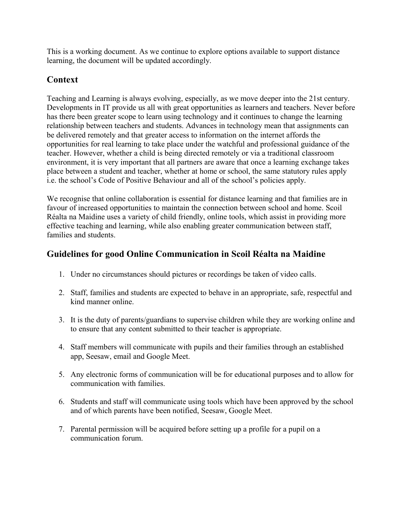This is a working document. As we continue to explore options available to support distance learning, the document will be updated accordingly.

## **Context**

Teaching and Learning is always evolving, especially, as we move deeper into the 21st century. Developments in IT provide us all with great opportunities as learners and teachers. Never before has there been greater scope to learn using technology and it continues to change the learning relationship between teachers and students. Advances in technology mean that assignments can be delivered remotely and that greater access to information on the internet affords the opportunities for real learning to take place under the watchful and professional guidance of the teacher. However, whether a child is being directed remotely or via a traditional classroom environment, it is very important that all partners are aware that once a learning exchange takes place between a student and teacher, whether at home or school, the same statutory rules apply i.e. the school's Code of Positive Behaviour and all of the school's policies apply.

We recognise that online collaboration is essential for distance learning and that families are in favour of increased opportunities to maintain the connection between school and home. Scoil Réalta na Maidine uses a variety of child friendly, online tools, which assist in providing more effective teaching and learning, while also enabling greater communication between staff, families and students.

## **Guidelines for good Online Communication in Scoil Réalta na Maidine**

- 1. Under no circumstances should pictures or recordings be taken of video calls.
- 2. Staff, families and students are expected to behave in an appropriate, safe, respectful and kind manner online.
- 3. It is the duty of parents/guardians to supervise children while they are working online and to ensure that any content submitted to their teacher is appropriate.
- 4. Staff members will communicate with pupils and their families through an established app, Seesaw, email and Google Meet.
- 5. Any electronic forms of communication will be for educational purposes and to allow for communication with families.
- 6. Students and staff will communicate using tools which have been approved by the school and of which parents have been notified, Seesaw, Google Meet.
- 7. Parental permission will be acquired before setting up a profile for a pupil on a communication forum.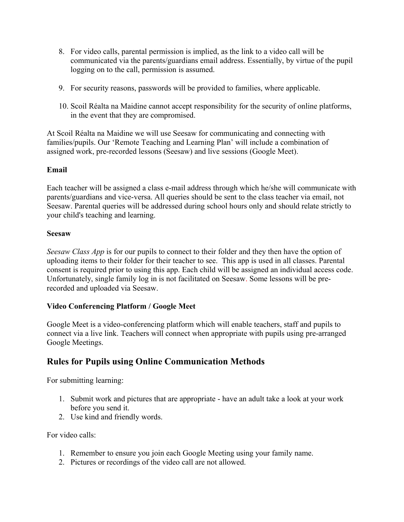- 8. For video calls, parental permission is implied, as the link to a video call will be communicated via the parents/guardians email address. Essentially, by virtue of the pupil logging on to the call, permission is assumed.
- 9. For security reasons, passwords will be provided to families, where applicable.
- 10. Scoil Réalta na Maidine cannot accept responsibility for the security of online platforms, in the event that they are compromised.

At Scoil Réalta na Maidine we will use Seesaw for communicating and connecting with families/pupils. Our 'Remote Teaching and Learning Plan' will include a combination of assigned work, pre-recorded lessons (Seesaw) and live sessions (Google Meet).

#### **Email**

Each teacher will be assigned a class e-mail address through which he/she will communicate with parents/guardians and vice-versa. All queries should be sent to the class teacher via email, not Seesaw. Parental queries will be addressed during school hours only and should relate strictly to your child's teaching and learning.

#### **Seesaw**

*Seesaw Class App* is for our pupils to connect to their folder and they then have the option of uploading items to their folder for their teacher to see. This app is used in all classes. Parental consent is required prior to using this app. Each child will be assigned an individual access code. Unfortunately, single family log in is not facilitated on Seesaw. Some lessons will be prerecorded and uploaded via Seesaw.

#### **Video Conferencing Platform / Google Meet**

Google Meet is a video-conferencing platform which will enable teachers, staff and pupils to connect via a live link. Teachers will connect when appropriate with pupils using pre-arranged Google Meetings.

## **Rules for Pupils using Online Communication Methods**

For submitting learning:

- 1. Submit work and pictures that are appropriate have an adult take a look at your work before you send it.
- 2. Use kind and friendly words.

For video calls:

- 1. Remember to ensure you join each Google Meeting using your family name.
- 2. Pictures or recordings of the video call are not allowed.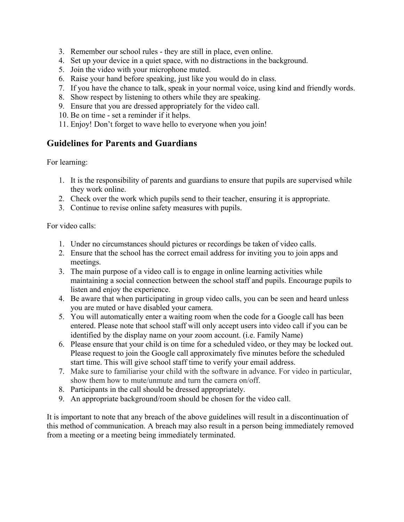- 3. Remember our school rules they are still in place, even online.
- 4. Set up your device in a quiet space, with no distractions in the background.
- 5. Join the video with your microphone muted.
- 6. Raise your hand before speaking, just like you would do in class.
- 7. If you have the chance to talk, speak in your normal voice, using kind and friendly words.
- 8. Show respect by listening to others while they are speaking.
- 9. Ensure that you are dressed appropriately for the video call.
- 10. Be on time set a reminder if it helps.
- 11. Enjoy! Don't forget to wave hello to everyone when you join!

## **Guidelines for Parents and Guardians**

For learning:

- 1. It is the responsibility of parents and guardians to ensure that pupils are supervised while they work online.
- 2. Check over the work which pupils send to their teacher, ensuring it is appropriate.
- 3. Continue to revise online safety measures with pupils.

For video calls:

- 1. Under no circumstances should pictures or recordings be taken of video calls.
- 2. Ensure that the school has the correct email address for inviting you to join apps and meetings.
- 3. The main purpose of a video call is to engage in online learning activities while maintaining a social connection between the school staff and pupils. Encourage pupils to listen and enjoy the experience.
- 4. Be aware that when participating in group video calls, you can be seen and heard unless you are muted or have disabled your camera.
- 5. You will automatically enter a waiting room when the code for a Google call has been entered. Please note that school staff will only accept users into video call if you can be identified by the display name on your zoom account. (i.e. Family Name)
- 6. Please ensure that your child is on time for a scheduled video, or they may be locked out. Please request to join the Google call approximately five minutes before the scheduled start time. This will give school staff time to verify your email address.
- 7. Make sure to familiarise your child with the software in advance. For video in particular, show them how to mute/unmute and turn the camera on/off.
- 8. Participants in the call should be dressed appropriately.
- 9. An appropriate background/room should be chosen for the video call.

It is important to note that any breach of the above guidelines will result in a discontinuation of this method of communication. A breach may also result in a person being immediately removed from a meeting or a meeting being immediately terminated.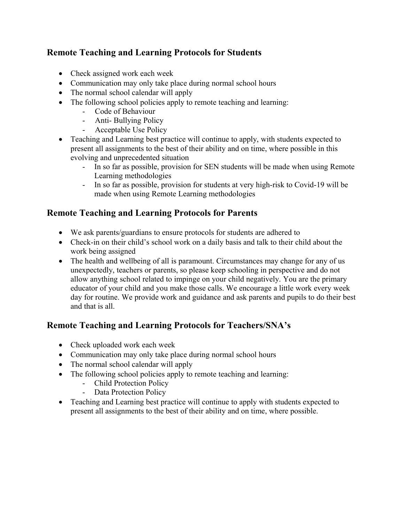## **Remote Teaching and Learning Protocols for Students**

- Check assigned work each week
- Communication may only take place during normal school hours
- The normal school calendar will apply
- The following school policies apply to remote teaching and learning:
	- Code of Behaviour
	- Anti- Bullying Policy
	- Acceptable Use Policy
- Teaching and Learning best practice will continue to apply, with students expected to present all assignments to the best of their ability and on time, where possible in this evolving and unprecedented situation
	- In so far as possible, provision for SEN students will be made when using Remote Learning methodologies
	- In so far as possible, provision for students at very high-risk to Covid-19 will be made when using Remote Learning methodologies

## **Remote Teaching and Learning Protocols for Parents**

- We ask parents/guardians to ensure protocols for students are adhered to
- Check-in on their child's school work on a daily basis and talk to their child about the work being assigned
- The health and wellbeing of all is paramount. Circumstances may change for any of us unexpectedly, teachers or parents, so please keep schooling in perspective and do not allow anything school related to impinge on your child negatively. You are the primary educator of your child and you make those calls. We encourage a little work every week day for routine. We provide work and guidance and ask parents and pupils to do their best and that is all.

## **Remote Teaching and Learning Protocols for Teachers/SNA's**

- Check uploaded work each week
- Communication may only take place during normal school hours
- The normal school calendar will apply
- The following school policies apply to remote teaching and learning:
	- Child Protection Policy
	- Data Protection Policy
- Teaching and Learning best practice will continue to apply with students expected to present all assignments to the best of their ability and on time, where possible.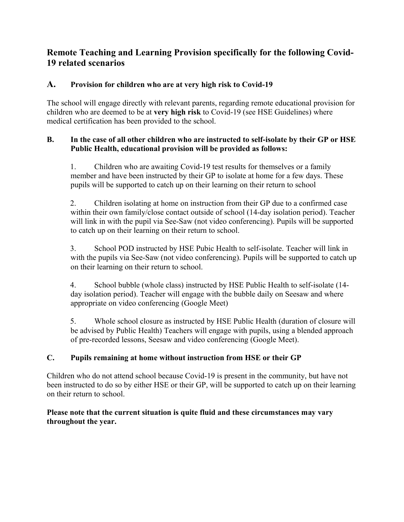## **Remote Teaching and Learning Provision specifically for the following Covid-19 related scenarios**

## **A. Provision for children who are at very high risk to Covid-19**

The school will engage directly with relevant parents, regarding remote educational provision for children who are deemed to be at **very high risk** to Covid-19 (see HSE Guidelines) where medical certification has been provided to the school.

#### **B. In the case of all other children who are instructed to self-isolate by their GP or HSE Public Health, educational provision will be provided as follows:**

1. Children who are awaiting Covid-19 test results for themselves or a family member and have been instructed by their GP to isolate at home for a few days. These pupils will be supported to catch up on their learning on their return to school

2. Children isolating at home on instruction from their GP due to a confirmed case within their own family/close contact outside of school (14-day isolation period). Teacher will link in with the pupil via See-Saw (not video conferencing). Pupils will be supported to catch up on their learning on their return to school.

3. School POD instructed by HSE Pubic Health to self-isolate. Teacher will link in with the pupils via See-Saw (not video conferencing). Pupils will be supported to catch up on their learning on their return to school.

4. School bubble (whole class) instructed by HSE Public Health to self-isolate (14 day isolation period). Teacher will engage with the bubble daily on Seesaw and where appropriate on video conferencing (Google Meet)

5. Whole school closure as instructed by HSE Public Health (duration of closure will be advised by Public Health) Teachers will engage with pupils, using a blended approach of pre-recorded lessons, Seesaw and video conferencing (Google Meet).

## **C. Pupils remaining at home without instruction from HSE or their GP**

Children who do not attend school because Covid-19 is present in the community, but have not been instructed to do so by either HSE or their GP, will be supported to catch up on their learning on their return to school.

#### **Please note that the current situation is quite fluid and these circumstances may vary throughout the year.**